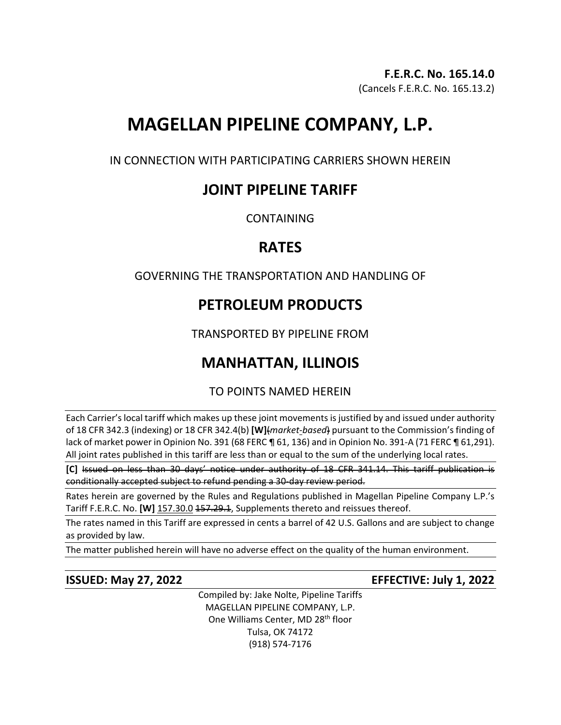## **F.E.R.C. No. 165.14.0**

(Cancels F.E.R.C. No. 165.13.2)

# **MAGELLAN PIPELINE COMPANY, L.P.**

IN CONNECTION WITH PARTICIPATING CARRIERS SHOWN HEREIN

# **JOINT PIPELINE TARIFF**

**CONTAINING** 

# **RATES**

GOVERNING THE TRANSPORTATION AND HANDLING OF

# **PETROLEUM PRODUCTS**

TRANSPORTED BY PIPELINE FROM

# **MANHATTAN, ILLINOIS**

TO POINTS NAMED HEREIN

Each Carrier's local tariff which makes up these joint movements is justified by and issued under authority of 18 CFR 342.3 (indexing) or 18 CFR 342.4(b) **[W]**(*market-based*) pursuant to the Commission's finding of lack of market power in Opinion No. 391 (68 FERC ¶ 61, 136) and in Opinion No. 391-A (71 FERC ¶ 61,291). All joint rates published in this tariff are less than or equal to the sum of the underlying local rates.

**[C]** Issued on less than 30 days' notice under authority of 18 CFR 341.14. This tariff publication is conditionally accepted subject to refund pending a 30-day review period.

Rates herein are governed by the Rules and Regulations published in Magellan Pipeline Company L.P.'s Tariff F.E.R.C. No. [W] 157.30.0 157.29.1, Supplements thereto and reissues thereof.

The rates named in this Tariff are expressed in cents a barrel of 42 U.S. Gallons and are subject to change as provided by law.

The matter published herein will have no adverse effect on the quality of the human environment.

**ISSUED: May 27, 2022 EFFECTIVE: July 1, 2022**

Compiled by: Jake Nolte, Pipeline Tariffs MAGELLAN PIPELINE COMPANY, L.P. One Williams Center, MD 28<sup>th</sup> floor Tulsa, OK 74172 (918) 574-7176